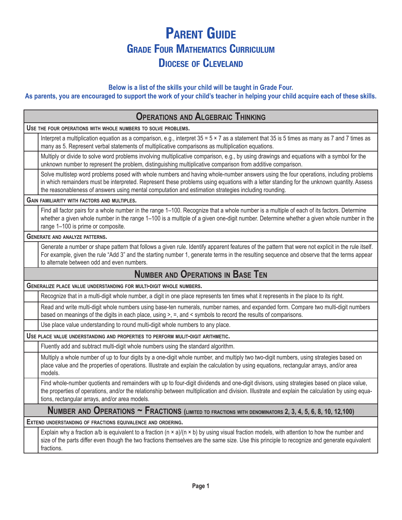## **Parent Guide Grade Four Mathematics Curriculum Diocese of Cleveland**

## **Below is a list of the skills your child will be taught in Grade Four.**

## **As parents, you are encouraged to support the work of your child's teacher in helping your child acquire each of these skills.**

| <b>OPERATIONS AND ALGEBRAIC THINKING</b>                                                                                                                                                                                                                                                                                                                                                  |  |  |
|-------------------------------------------------------------------------------------------------------------------------------------------------------------------------------------------------------------------------------------------------------------------------------------------------------------------------------------------------------------------------------------------|--|--|
| USE THE FOUR OPERATIONS WITH WHOLE NUMBERS TO SOLVE PROBLEMS.                                                                                                                                                                                                                                                                                                                             |  |  |
| Interpret a multiplication equation as a comparison, e.g., interpret $35 = 5 \times 7$ as a statement that 35 is 5 times as many as 7 and 7 times as<br>many as 5. Represent verbal statements of multiplicative comparisons as multiplication equations.                                                                                                                                 |  |  |
| Multiply or divide to solve word problems involving multiplicative comparison, e.g., by using drawings and equations with a symbol for the<br>unknown number to represent the problem, distinguishing multiplicative comparison from additive comparison.                                                                                                                                 |  |  |
| Solve multistep word problems posed with whole numbers and having whole-number answers using the four operations, including problems<br>in which remainders must be interpreted. Represent these problems using equations with a letter standing for the unknown quantity. Assess<br>the reasonableness of answers using mental computation and estimation strategies including rounding. |  |  |
| <b>GAIN FAMILIARITY WITH FACTORS AND MULTIPLES.</b>                                                                                                                                                                                                                                                                                                                                       |  |  |
| Find all factor pairs for a whole number in the range 1-100. Recognize that a whole number is a multiple of each of its factors. Determine<br>whether a given whole number in the range 1-100 is a multiple of a given one-digit number. Determine whether a given whole number in the<br>range 1-100 is prime or composite.                                                              |  |  |
| <b>GENERATE AND ANALYZE PATTERNS.</b>                                                                                                                                                                                                                                                                                                                                                     |  |  |
| Generate a number or shape pattern that follows a given rule. Identify apparent features of the pattern that were not explicit in the rule itself.<br>For example, given the rule "Add 3" and the starting number 1, generate terms in the resulting sequence and observe that the terms appear<br>to alternate between odd and even numbers.                                             |  |  |
| <b>NUMBER AND OPERATIONS IN BASE TEN</b>                                                                                                                                                                                                                                                                                                                                                  |  |  |
| GENERALIZE PLACE VALUE UNDERSTANDING FOR MULTI-DIGIT WHOLE NUMBERS.                                                                                                                                                                                                                                                                                                                       |  |  |
| Recognize that in a multi-digit whole number, a digit in one place represents ten times what it represents in the place to its right.                                                                                                                                                                                                                                                     |  |  |
| Read and write multi-digit whole numbers using base-ten numerals, number names, and expanded form. Compare two multi-digit numbers<br>based on meanings of the digits in each place, using >, =, and < symbols to record the results of comparisons.                                                                                                                                      |  |  |
| Use place value understanding to round multi-digit whole numbers to any place.                                                                                                                                                                                                                                                                                                            |  |  |
| USE PLACE VALUE UNDERSTANDING AND PROPERTIES TO PERFORM MULIT-DIGIT ARITHMETIC.                                                                                                                                                                                                                                                                                                           |  |  |
| Fluently add and subtract multi-digit whole numbers using the standard algorithm.                                                                                                                                                                                                                                                                                                         |  |  |
| Multiply a whole number of up to four digits by a one-digit whole number, and multiply two two-digit numbers, using strategies based on<br>place value and the properties of operations. Illustrate and explain the calculation by using equations, rectangular arrays, and/or area<br>models.                                                                                            |  |  |
| Find whole-number quotients and remainders with up to four-digit dividends and one-digit divisors, using strategies based on place value,<br>the properties of operations, and/or the relationship between multiplication and division. Illustrate and explain the calculation by using equa-<br>tions, rectangular arrays, and/or area models.                                           |  |  |
| NUMBER AND OPERATIONS $\sim$ Fractions (limited to fractions with denominators 2, 3, 4, 5, 6, 8, 10, 12,100)                                                                                                                                                                                                                                                                              |  |  |
| EXTEND UNDERSTANDING OF FRACTIONS EQUIVALENCE AND ORDERING.                                                                                                                                                                                                                                                                                                                               |  |  |
| Explain why a fraction a/b is equivalent to a fraction $(n \times a)/(n \times b)$ by using visual fraction models, with attention to how the number and<br>size of the parts differ even though the two fractions themselves are the same size. Use this principle to recognize and generate equivalent<br>fractions.                                                                    |  |  |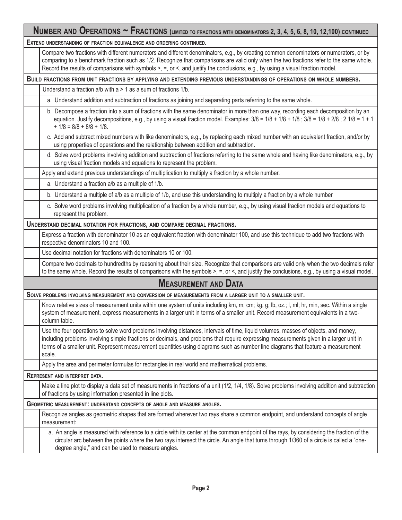| NUMBER AND OPERATIONS $\sim$ Fractions (limited to fractions with denominators 2, 3, 4, 5, 6, 8, 10, 12,100) continued                                                                                                                                                                                                                                                                                                           |  |  |
|----------------------------------------------------------------------------------------------------------------------------------------------------------------------------------------------------------------------------------------------------------------------------------------------------------------------------------------------------------------------------------------------------------------------------------|--|--|
| EXTEND UNDERSTANDING OF FRACTION EQUIVALENCE AND ORDERING CONTINUED.                                                                                                                                                                                                                                                                                                                                                             |  |  |
| Compare two fractions with different numerators and different denominators, e.g., by creating common denominators or numerators, or by<br>comparing to a benchmark fraction such as 1/2. Recognize that comparisons are valid only when the two fractions refer to the same whole.<br>Record the results of comparisons with symbols $>$ , $=$ , or $\lt$ , and justify the conclusions, e.g., by using a visual fraction model. |  |  |
| Build fractions from unit fractions by applying and extending previous understandings of operations on whole numbers.                                                                                                                                                                                                                                                                                                            |  |  |
| Understand a fraction $a/b$ with $a > 1$ as a sum of fractions $1/b$ .                                                                                                                                                                                                                                                                                                                                                           |  |  |
| a. Understand addition and subtraction of fractions as joining and separating parts referring to the same whole.                                                                                                                                                                                                                                                                                                                 |  |  |
| b. Decompose a fraction into a sum of fractions with the same denominator in more than one way, recording each decomposition by an<br>equation. Justify decompositions, e.g., by using a visual fraction model. Examples: $3/8 = 1/8 + 1/8 + 1/8$ ; $3/8 = 1/8 + 2/8$ ; $2 \frac{1}{8} = 1 + 1$<br>$+ 1/8 = 8/8 + 8/8 + 1/8.$                                                                                                    |  |  |
| c. Add and subtract mixed numbers with like denominators, e.g., by replacing each mixed number with an equivalent fraction, and/or by<br>using properties of operations and the relationship between addition and subtraction.                                                                                                                                                                                                   |  |  |
| d. Solve word problems involving addition and subtraction of fractions referring to the same whole and having like denominators, e.g., by<br>using visual fraction models and equations to represent the problem.                                                                                                                                                                                                                |  |  |
| Apply and extend previous understandings of multiplication to multiply a fraction by a whole number.                                                                                                                                                                                                                                                                                                                             |  |  |
| a. Understand a fraction a/b as a multiple of 1/b.                                                                                                                                                                                                                                                                                                                                                                               |  |  |
| b. Understand a multiple of a/b as a multiple of 1/b, and use this understanding to multiply a fraction by a whole number                                                                                                                                                                                                                                                                                                        |  |  |
| c. Solve word problems involving multiplication of a fraction by a whole number, e.g., by using visual fraction models and equations to<br>represent the problem.                                                                                                                                                                                                                                                                |  |  |
| UNDERSTAND DECIMAL NOTATION FOR FRACTIONS, AND COMPARE DECIMAL FRACTIONS.                                                                                                                                                                                                                                                                                                                                                        |  |  |
| Express a fraction with denominator 10 as an equivalent fraction with denominator 100, and use this technique to add two fractions with<br>respective denominators 10 and 100.                                                                                                                                                                                                                                                   |  |  |
| Use decimal notation for fractions with denominators 10 or 100.                                                                                                                                                                                                                                                                                                                                                                  |  |  |
| Compare two decimals to hundredths by reasoning about their size. Recognize that comparisons are valid only when the two decimals refer<br>to the same whole. Record the results of comparisons with the symbols >, =, or <, and justify the conclusions, e.g., by using a visual model.                                                                                                                                         |  |  |
| <b>MEASUREMENT AND DATA</b>                                                                                                                                                                                                                                                                                                                                                                                                      |  |  |
| SOLVE PROBLEMS INVOLVING MEASUREMENT AND CONVERSION OF MEASUREMENTS FROM A LARGER UNIT TO A SMALLER UNIT.                                                                                                                                                                                                                                                                                                                        |  |  |
| Know relative sizes of measurement units within one system of units including km, m, cm; kg, g; lb, oz.; l, ml; hr, min, sec. Within a single<br>system of measurement, express measurements in a larger unit in terms of a smaller unit. Record measurement equivalents in a two-<br>column table.                                                                                                                              |  |  |
| Use the four operations to solve word problems involving distances, intervals of time, liquid volumes, masses of objects, and money,<br>including problems involving simple fractions or decimals, and problems that require expressing measurements given in a larger unit in<br>terms of a smaller unit. Represent measurement quantities using diagrams such as number line diagrams that feature a measurement<br>scale.     |  |  |
| Apply the area and perimeter formulas for rectangles in real world and mathematical problems.                                                                                                                                                                                                                                                                                                                                    |  |  |
| <b>REPRESENT AND INTERPRET DATA.</b>                                                                                                                                                                                                                                                                                                                                                                                             |  |  |
| Make a line plot to display a data set of measurements in fractions of a unit (1/2, 1/4, 1/8). Solve problems involving addition and subtraction<br>of fractions by using information presented in line plots.                                                                                                                                                                                                                   |  |  |
| <b>GEOMETRIC MEASUREMENT: UNDERSTAND CONCEPTS OF ANGLE AND MEASURE ANGLES.</b>                                                                                                                                                                                                                                                                                                                                                   |  |  |
| Recognize angles as geometric shapes that are formed wherever two rays share a common endpoint, and understand concepts of angle<br>measurement:                                                                                                                                                                                                                                                                                 |  |  |
| a. An angle is measured with reference to a circle with its center at the common endpoint of the rays, by considering the fraction of the<br>circular arc between the points where the two rays intersect the circle. An angle that turns through 1/360 of a circle is called a "one-<br>degree angle," and can be used to measure angles.                                                                                       |  |  |